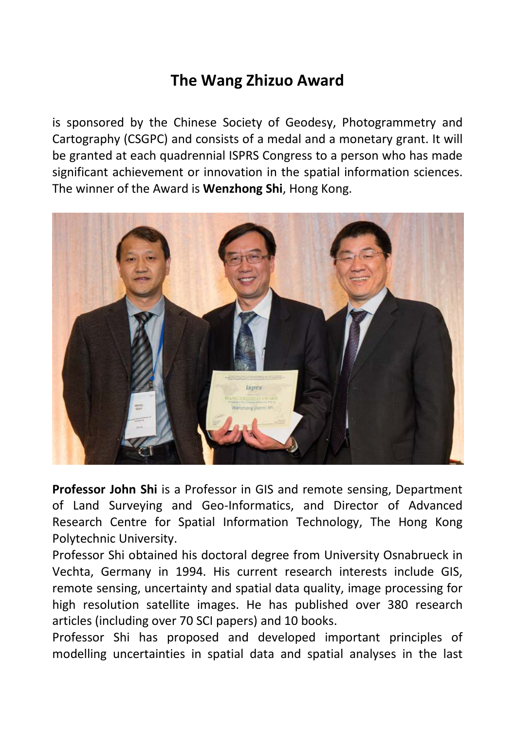## **The Wang Zhizuo Award**

is sponsored by the Chinese Society of Geodesy, Photogrammetry and Cartography (CSGPC) and consists of a medal and a monetary grant. It will be granted at each quadrennial ISPRS Congress to a person who has made significant achievement or innovation in the spatial information sciences. The winner of the Award is **Wenzhong Shi**, Hong Kong.



**Professor John Shi** is a Professor in GIS and remote sensing, Department of Land Surveying and Geo-Informatics, and Director of Advanced Research Centre for Spatial Information Technology, The Hong Kong Polytechnic University.

Professor Shi obtained his doctoral degree from University Osnabrueck in Vechta, Germany in 1994. His current research interests include GIS, remote sensing, uncertainty and spatial data quality, image processing for high resolution satellite images. He has published over 380 research articles (including over 70 SCI papers) and 10 books.

Professor Shi has proposed and developed important principles of modelling uncertainties in spatial data and spatial analyses in the last